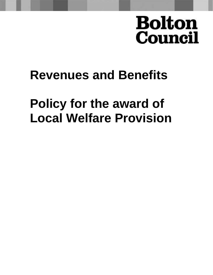# **Bolton Council**

## **Revenues and Benefits**

## **Policy for the award of Local Welfare Provision**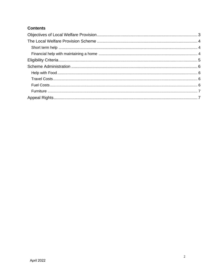#### **Contents**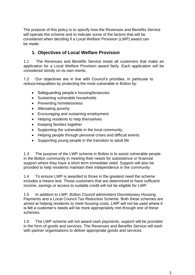<span id="page-2-0"></span>The purpose of this policy is to specify how the Revenues and Benefits Service will operate the scheme and to indicate some of the factors that will be considered when deciding if a Local Welfare Provision (LWP) award can be made.

### **1. Objectives of Local Welfare Provision**

1.1 The Revenues and Benefits Service treats all customers that make an application for a Local Welfare Provision award fairly. Each application will be considered strictly on its own merits.

1.2 Our objectives are in line with Council's priorities, in particular to reduce inequalities by protecting the most vulnerable in Bolton by:

- Safeguarding people's housing/tenancies
- Sustaining vulnerable households
- Preventing homelessness
- Alleviating poverty
- Encouraging and sustaining employment
- Helping residents to help themselves
- Keeping families together
- Supporting the vulnerable in the local community
- Helping people through personal crises and difficult events
- Supporting young people in the transition to adult life

1.3 The purpose of the LWP scheme in Bolton is to assist vulnerable people in the Bolton community in meeting their needs for subsistence or financial support where they have a short term immediate need. Support will also be provided to help residents maintain their independence in the community.

1.4 To ensure LWP is awarded to those in the greatest need the scheme includes a means test. Those customers that are determined to have sufficient income, savings or access to suitable credit will not be eligible for LWP.

1.5 In addition to LWP, Bolton Council administers Discretionary Housing Payments and a Local Council Tax Reduction Scheme. Both these schemes are aimed at helping residents to meet housing costs. LWP will not be used where it is felt a customer's needs will be more appropriately met through one of these schemes.

1.6 The LWP scheme will not award cash payments, support will be provided in the form of goods and services. The Revenues and Benefits Service will work with partner organisations to deliver appropriate goods and services.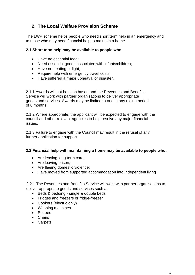## <span id="page-3-0"></span>**2. The Local Welfare Provision Scheme**

<span id="page-3-1"></span>The LWP scheme helps people who need short term help in an emergency and to those who may need financial help to maintain a home.

#### **2.1 Short term help may be available to people who:**

- Have no essential food:
- Need essential goods associated with infants/children;
- Have no heating or light;
- Require help with emergency travel costs;
- Have suffered a major upheaval or disaster.

2.1.1 Awards will not be cash based and the Revenues and Benefits Service will work with partner organisations to deliver appropriate goods and services. Awards may be limited to one in any rolling period of 6 months.

2.1.2 Where appropriate, the applicant will be expected to engage with the council and other relevant agencies to help resolve any major financial issues.

<span id="page-3-2"></span>2.1.3 Failure to engage with the Council may result in the refusal of any further application for support.

#### **2.2 Financial help with maintaining a home may be available to people who:**

- Are leaving long term care;
- Are leaving prison;
- Are fleeing domestic violence;
- Have moved from supported accommodation into independent living

2.2.1 The Revenues and Benefits Service will work with partner organisations to deliver appropriate goods and services such as

- Beds & bedding single & double beds
- Fridges and freezers or fridge-freezer
- Cookers (electric only)
- Washing machines
- Settees
- Chairs
- Carpets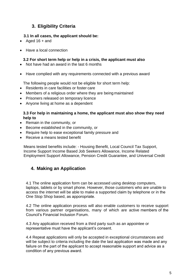## <span id="page-4-0"></span>**3. Eligibility Criteria**

#### **3.1 In all cases, the applicant should be:**

- Aged  $16 +$  and
- Have a local connection

#### **3.2 For short term help or help in a crisis, the applicant must also**

- Not have had an award in the last 6 months
- Have complied with any requirements connected with a previous award

The following people would not be eligible for short term help:

- Residents in care facilities or foster care
- Members of a religious order where they are being maintained
- Prisoners released on temporary licence
- Anyone living at home as a dependent

#### **3.3 For help in maintaining a home, the applicant must also show they need help to**

- Remain in the community, or
- Become established in the community, or
- Require help to ease exceptional family pressure and
- Receive a means tested benefit

Means tested benefits include: - Housing Benefit, Local Council Tax Support, Income Support Income Based Job Seekers Allowance, Income Related Employment Support Allowance, Pension Credit Guarantee, and Universal Credit

## **4. Making an Application**

4.1 The online application form can be accessed using desktop computers, laptops, tablets or by smart phone. However, those customers who are unable to access the internet will be able to make a supported claim by telephone or in the One Stop Shop based, as apporopriate.

4.2 The online application process will also enable customers to receive support from various partner organisations, many of which are active members of the Council's Financial Inclusion Forum.

4.3 Any application received from a third party such as an appointee or representative must have the applicant's consent.

4.4 Repeat applications will only be accepted in exceptional circumstances and will be subject to criteria including the date the last application was made and any failure on the part of the applicant to accept reasonable support and advice as a condition of any previous award.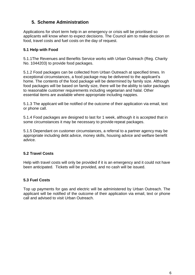## **5. Scheme Administration**

<span id="page-5-0"></span>Applications for short term help in an emergency or crisis will be prioritised so applicants will know when to expect decisions. The Council aim to make decision on food, travel costs and fuel costs on the day of request.

#### **5.1 Help with Food**

<span id="page-5-1"></span>5.1.1The Revenues and Benefits Service works with Urban Outreach (Reg. Charity No. 1044203) to provide food packages.

5.1.2 Food packages can be collected from Urban Outreach at specified times. In exceptional circumstances, a food package may be delivered to the applicant's home. The contents of the food package will be determined by family size. Although food packages will be based on family size, there will be the ability to tailor packages to reasonable customer requirements including vegetarian and halal. Other essential items are available where appropriate including nappies.

5.1.3 The applicant will be notified of the outcome of their application via email, text or phone call.

5.1.4 Food packages are designed to last for 1 week, although it is accepted that in some circumstances it may be necessary to provide repeat packages.

5.1.5 Dependant on customer circumstances, a referral to a partner agency may be appropriate including debt advice, money skills, housing advice and welfare benefit advice.

#### **5.2 Travel Costs**

Help with travel costs will only be provided if it is an emergency and it could not have been anticipated. Tickets will be provided, and no cash will be issued.

#### <span id="page-5-2"></span>**5.3 Fuel Costs**

<span id="page-5-3"></span>Top up payments for gas and electric will be administered by Urban Outreach. The applicant will be notified of the outcome of their application via email, text or phone call and advised to visit Urban Outreach.